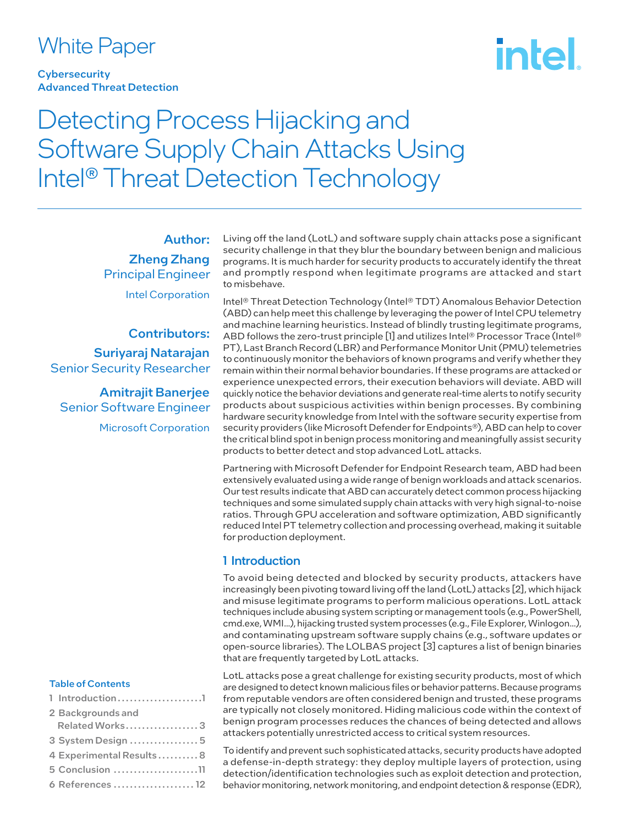# White Paper

**Cybersecurity** Advanced Threat Detection

# intel

# Detecting Process Hijacking and Software Supply Chain Attacks Using Intel® Threat Detection Technology

Author: Zheng Zhang Principal Engineer Intel Corporation

## Contributors:

Suriyaraj Natarajan Senior Security Researcher

Amitrajit Banerjee Senior Software Engineer Microsoft Corporation

#### Table of Contents

| 1 Introduction1                     |
|-------------------------------------|
| 2 Backgrounds and<br>Related Works3 |
| 3 System Design 5                   |
| 4 Experimental Results8             |
| 5 Conclusion 11                     |
| 6 References  12                    |

Living off the land (LotL) and software supply chain attacks pose a significant security challenge in that they blur the boundary between benign and malicious programs. It is much harder for security products to accurately identify the threat and promptly respond when legitimate programs are attacked and start to misbehave.

Intel® Threat Detection Technology (Intel® TDT) Anomalous Behavior Detection (ABD) can help meet this challenge by leveraging the power of Intel CPU telemetry and machine learning heuristics. Instead of blindly trusting legitimate programs, ABD follows the zero-trust principle [1] and utilizes Intel® Processor Trace (Intel® PT), Last Branch Record (LBR) and Performance Monitor Unit (PMU) telemetries to continuously monitor the behaviors of known programs and verify whether they remain within their normal behavior boundaries. If these programs are attacked or experience unexpected errors, their execution behaviors will deviate. ABD will quickly notice the behavior deviations and generate real-time alerts to notify security products about suspicious activities within benign processes. By combining hardware security knowledge from Intel with the software security expertise from security providers (like Microsoft Defender for Endpoints®), ABD can help to cover the critical blind spot in benign process monitoring and meaningfully assist security products to better detect and stop advanced LotL attacks.

Partnering with Microsoft Defender for Endpoint Research team, ABD had been extensively evaluated using a wide range of benign workloads and attack scenarios. Our test results indicate that ABD can accurately detect common process hijacking techniques and some simulated supply chain attacks with very high signal-to-noise ratios. Through GPU acceleration and software optimization, ABD significantly reduced Intel PT telemetry collection and processing overhead, making it suitable for production deployment.

#### 1 Introduction

To avoid being detected and blocked by security products, attackers have increasingly been pivoting toward living off the land (LotL) attacks [2], which hijack and misuse legitimate programs to perform malicious operations. LotL attack techniques include abusing system scripting or management tools (e.g., PowerShell, cmd.exe, WMI…), hijacking trusted system processes (e.g., File Explorer, Winlogon…), and contaminating upstream software supply chains (e.g., software updates or open-source libraries). The LOLBAS project [3] captures a list of benign binaries that are frequently targeted by LotL attacks.

LotL attacks pose a great challenge for existing security products, most of which are designed to detect known malicious files or behavior patterns. Because programs from reputable vendors are often considered benign and trusted, these programs are typically not closely monitored. Hiding malicious code within the context of benign program processes reduces the chances of being detected and allows attackers potentially unrestricted access to critical system resources.

To identify and prevent such sophisticated attacks, security products have adopted a defense-in-depth strategy: they deploy multiple layers of protection, using detection/identification technologies such as exploit detection and protection, behavior monitoring, network monitoring, and endpoint detection & response (EDR),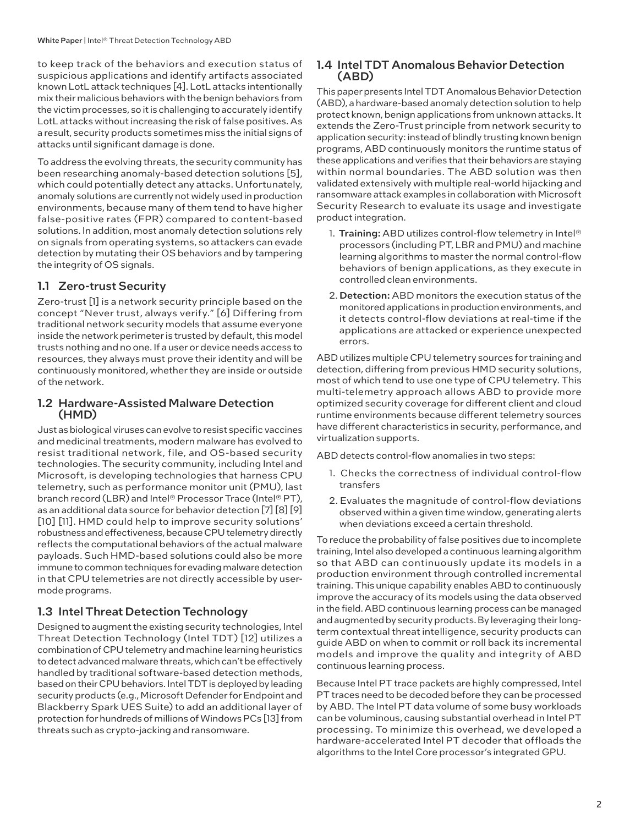to keep track of the behaviors and execution status of suspicious applications and identify artifacts associated known LotL attack techniques [4]. LotL attacks intentionally mix their malicious behaviors with the benign behaviors from the victim processes, so it is challenging to accurately identify LotL attacks without increasing the risk of false positives. As a result, security products sometimes miss the initial signs of attacks until significant damage is done.

To address the evolving threats, the security community has been researching anomaly-based detection solutions [5], which could potentially detect any attacks. Unfortunately, anomaly solutions are currently not widely used in production environments, because many of them tend to have higher false-positive rates (FPR) compared to content-based solutions. In addition, most anomaly detection solutions rely on signals from operating systems, so attackers can evade detection by mutating their OS behaviors and by tampering the integrity of OS signals.

# 1.1 Zero-trust Security

Zero-trust [1] is a network security principle based on the concept "Never trust, always verify." [6] Differing from traditional network security models that assume everyone inside the network perimeter is trusted by default, this model trusts nothing and no one. If a user or device needs access to resources, they always must prove their identity and will be continuously monitored, whether they are inside or outside of the network.

### 1.2 Hardware-Assisted Malware Detection (HMD)

Just as biological viruses can evolve to resist specific vaccines and medicinal treatments, modern malware has evolved to resist traditional network, file, and OS-based security technologies. The security community, including Intel and Microsoft, is developing technologies that harness CPU telemetry, such as performance monitor unit (PMU), last branch record (LBR) and Intel® Processor Trace (Intel® PT), as an additional data source for behavior detection [7] [8] [9] [10] [11]. HMD could help to improve security solutions' robustness and effectiveness, because CPU telemetry directly reflects the computational behaviors of the actual malware payloads. Such HMD-based solutions could also be more immune to common techniques for evading malware detection in that CPU telemetries are not directly accessible by usermode programs.

# 1.3 Intel Threat Detection Technology

Designed to augment the existing security technologies, Intel Threat Detection Technology (Intel TDT) [12] utilizes a combination of CPU telemetry and machine learning heuristics to detect advanced malware threats, which can't be effectively handled by traditional software-based detection methods, based on their CPU behaviors. Intel TDT is deployed by leading security products (e.g., Microsoft Defender for Endpoint and Blackberry Spark UES Suite) to add an additional layer of protection for hundreds of millions of Windows PCs [13] from threats such as crypto-jacking and ransomware.

#### 1.4 Intel TDT Anomalous Behavior Detection (ABD)

This paper presents Intel TDT Anomalous Behavior Detection (ABD), a hardware-based anomaly detection solution to help protect known, benign applications from unknown attacks. It extends the Zero-Trust principle from network security to application security: instead of blindly trusting known benign programs, ABD continuously monitors the runtime status of these applications and verifies that their behaviors are staying within normal boundaries. The ABD solution was then validated extensively with multiple real-world hijacking and ransomware attack examples in collaboration with Microsoft Security Research to evaluate its usage and investigate product integration.

- 1. Training: ABD utilizes control-flow telemetry in Intel® processors (including PT, LBR and PMU) and machine learning algorithms to master the normal control-flow behaviors of benign applications, as they execute in controlled clean environments.
- 2. Detection: ABD monitors the execution status of the monitored applications in production environments, and it detects control-flow deviations at real-time if the applications are attacked or experience unexpected errors.

ABD utilizes multiple CPU telemetry sources for training and detection, differing from previous HMD security solutions, most of which tend to use one type of CPU telemetry. This multi-telemetry approach allows ABD to provide more optimized security coverage for different client and cloud runtime environments because different telemetry sources have different characteristics in security, performance, and virtualization supports.

ABD detects control-flow anomalies in two steps:

- 1. Checks the correctness of individual control-flow transfers
- 2. Evaluates the magnitude of control-flow deviations observed within a given time window, generating alerts when deviations exceed a certain threshold.

To reduce the probability of false positives due to incomplete training, Intel also developed a continuous learning algorithm so that ABD can continuously update its models in a production environment through controlled incremental training. This unique capability enables ABD to continuously improve the accuracy of its models using the data observed in the field. ABD continuous learning process can be managed and augmented by security products. By leveraging their longterm contextual threat intelligence, security products can guide ABD on when to commit or roll back its incremental models and improve the quality and integrity of ABD continuous learning process.

Because Intel PT trace packets are highly compressed, Intel PT traces need to be decoded before they can be processed by ABD. The Intel PT data volume of some busy workloads can be voluminous, causing substantial overhead in Intel PT processing. To minimize this overhead, we developed a hardware-accelerated Intel PT decoder that offloads the algorithms to the Intel Core processor's integrated GPU.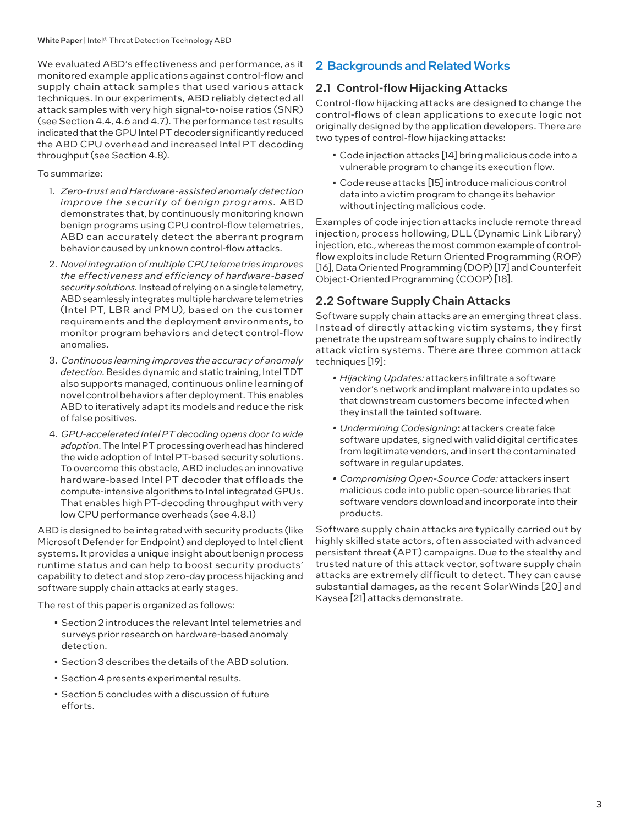We evaluated ABD's effectiveness and performance, as it monitored example applications against control-flow and supply chain attack samples that used various attack techniques. In our experiments, ABD reliably detected all attack samples with very high signal-to-noise ratios (SNR) (see Section 4.4, 4.6 and 4.7). The performance test results indicated that the GPU Intel PT decoder significantly reduced the ABD CPU overhead and increased Intel PT decoding throughput (see Section 4.8).

#### To summarize:

- 1. *Zero-trust and Hardware-assisted anomaly detection improve the security of benign programs.* ABD demonstrates that, by continuously monitoring known benign programs using CPU control-flow telemetries, ABD can accurately detect the aberrant program behavior caused by unknown control-flow attacks.
- 2. *Novel integration of multiple CPU telemetries improves the effectiveness and efficiency of hardware-based security solutions.* Instead of relying on a single telemetry, ABD seamlessly integrates multiple hardware telemetries (Intel PT, LBR and PMU), based on the customer requirements and the deployment environments, to monitor program behaviors and detect control-flow anomalies.
- 3. *Continuous learning improves the accuracy of anomaly detection.* Besides dynamic and static training, Intel TDT also supports managed, continuous online learning of novel control behaviors after deployment. This enables ABD to iteratively adapt its models and reduce the risk of false positives.
- 4. *GPU-accelerated Intel PT decoding opens door to wide adoption*. The Intel PT processing overhead has hindered the wide adoption of Intel PT-based security solutions. To overcome this obstacle, ABD includes an innovative hardware-based Intel PT decoder that offloads the compute-intensive algorithms to Intel integrated GPUs. That enables high PT-decoding throughput with very low CPU performance overheads (see 4.8.1)

ABD is designed to be integrated with security products (like Microsoft Defender for Endpoint) and deployed to Intel client systems. It provides a unique insight about benign process runtime status and can help to boost security products' capability to detect and stop zero-day process hijacking and software supply chain attacks at early stages.

The rest of this paper is organized as follows:

- Section 2 introduces the relevant Intel telemetries and surveys prior research on hardware-based anomaly detection.
- Section 3 describes the details of the ABD solution.
- Section 4 presents experimental results.
- Section 5 concludes with a discussion of future efforts.

# 2 Backgrounds and Related Works

# 2.1 Control-flow Hijacking Attacks

Control-flow hijacking attacks are designed to change the control-flows of clean applications to execute logic not originally designed by the application developers. There are two types of control-flow hijacking attacks:

- Code injection attacks [14] bring malicious code into a vulnerable program to change its execution flow.
- Code reuse attacks [15] introduce malicious control data into a victim program to change its behavior without injecting malicious code.

Examples of code injection attacks include remote thread injection, process hollowing, DLL (Dynamic Link Library) injection, etc., whereas the most common example of controlflow exploits include Return Oriented Programming (ROP) [16], Data Oriented Programming (DOP) [17] and Counterfeit Object-Oriented Programming (COOP) [18].

# 2.2 Software Supply Chain Attacks

Software supply chain attacks are an emerging threat class. Instead of directly attacking victim systems, they first penetrate the upstream software supply chains to indirectly attack victim systems. There are three common attack techniques [19]:

- *• Hijacking Updates:* attackers infiltrate a software vendor's network and implant malware into updates so that downstream customers become infected when they install the tainted software.
- *• Undermining Codesigning*: attackers create fake software updates, signed with valid digital certificates from legitimate vendors, and insert the contaminated software in regular updates.
- *• Compromising Open-Source Code:* attackers insert malicious code into public open-source libraries that software vendors download and incorporate into their products.

Software supply chain attacks are typically carried out by highly skilled state actors, often associated with advanced persistent threat (APT) campaigns. Due to the stealthy and trusted nature of this attack vector, software supply chain attacks are extremely difficult to detect. They can cause substantial damages, as the recent SolarWinds [20] and Kaysea [21] attacks demonstrate.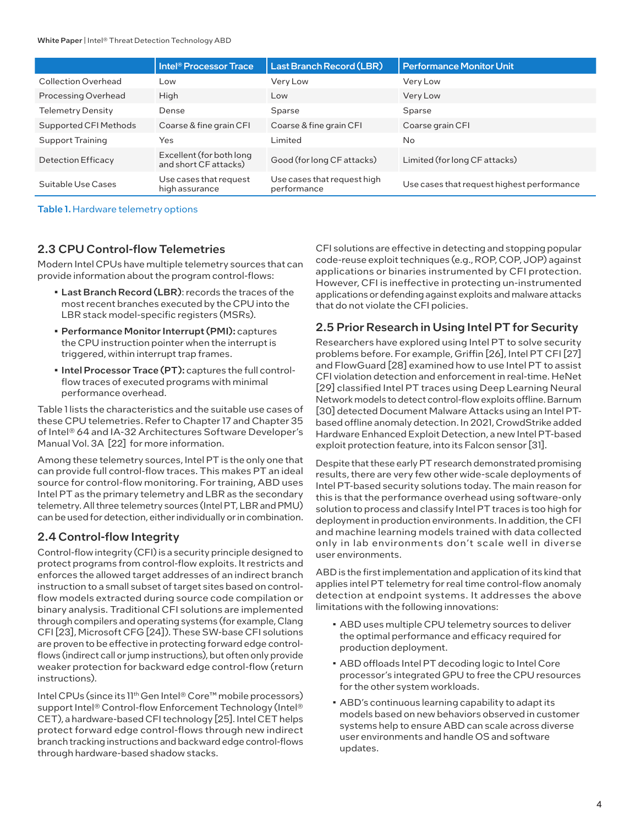|                           | <b>Intel<sup>®</sup> Processor Trace</b>          | <b>Last Branch Record (LBR)</b>            | <b>Performance Monitor Unit</b>            |
|---------------------------|---------------------------------------------------|--------------------------------------------|--------------------------------------------|
| Collection Overhead       | Low                                               | Very Low                                   | Very Low                                   |
| Processing Overhead       | High                                              | Low                                        | Very Low                                   |
| <b>Telemetry Density</b>  | Dense                                             | Sparse                                     | Sparse                                     |
| Supported CFI Methods     | Coarse & fine grain CFI                           | Coarse & fine grain CFI                    | Coarse grain CFI                           |
| Support Training          | Yes                                               | Limited                                    | No                                         |
| <b>Detection Efficacy</b> | Excellent (for both long<br>and short CF attacks) | Good (for long CF attacks)                 | Limited (for long CF attacks)              |
| Suitable Use Cases        | Use cases that request<br>high assurance          | Use cases that request high<br>performance | Use cases that request highest performance |

#### Table 1. Hardware telemetry options

# 2.3 CPU Control-flow Telemetries

Modern Intel CPUs have multiple telemetry sources that can provide information about the program control-flows:

- Last Branch Record (LBR): records the traces of the most recent branches executed by the CPU into the LBR stack model-specific registers (MSRs).
- Performance Monitor Interrupt (PMI): captures the CPU instruction pointer when the interrupt is triggered, within interrupt trap frames.
- Intel Processor Trace (PT): captures the full controlflow traces of executed programs with minimal performance overhead.

Table 1 lists the characteristics and the suitable use cases of these CPU telemetries. Refer to Chapter 17 and Chapter 35 of Intel® 64 and IA-32 Architectures Software Developer's Manual Vol. 3A [22] for more information.

Among these telemetry sources, Intel PT is the only one that can provide full control-flow traces. This makes PT an ideal source for control-flow monitoring. For training, ABD uses Intel PT as the primary telemetry and LBR as the secondary telemetry. All three telemetry sources (Intel PT, LBR and PMU) can be used for detection, either individually or in combination.

# 2.4 Control-flow Integrity

Control-flow integrity (CFI) is a security principle designed to protect programs from control-flow exploits. It restricts and enforces the allowed target addresses of an indirect branch instruction to a small subset of target sites based on controlflow models extracted during source code compilation or binary analysis. Traditional CFI solutions are implemented through compilers and operating systems (for example, Clang CFI [23], Microsoft CFG [24]). These SW-base CFI solutions are proven to be effective in protecting forward edge controlflows (indirect call or jump instructions), but often only provide weaker protection for backward edge control-flow (return instructions).

Intel CPUs (since its 11th Gen Intel® Core™ mobile processors) support Intel® Control-flow Enforcement Technology (Intel® CET), a hardware-based CFI technology [25]. Intel CET helps protect forward edge control-flows through new indirect branch tracking instructions and backward edge control-flows through hardware-based shadow stacks.

CFI solutions are effective in detecting and stopping popular code-reuse exploit techniques (e.g., ROP, COP, JOP) against applications or binaries instrumented by CFI protection. However, CFI is ineffective in protecting un-instrumented applications or defending against exploits and malware attacks that do not violate the CFI policies.

# 2.5 Prior Research in Using Intel PT for Security

Researchers have explored using Intel PT to solve security problems before. For example, Griffin [26], Intel PT CFI [27] and FlowGuard [28] examined how to use Intel PT to assist CFI violation detection and enforcement in real-time. HeNet [29] classified Intel PT traces using Deep Learning Neural Network models to detect control-flow exploits offline. Barnum [30] detected Document Malware Attacks using an Intel PTbased offline anomaly detection. In 2021, CrowdStrike added Hardware Enhanced Exploit Detection, a new Intel PT-based exploit protection feature, into its Falcon sensor [31].

Despite that these early PT research demonstrated promising results, there are very few other wide-scale deployments of Intel PT-based security solutions today. The main reason for this is that the performance overhead using software-only solution to process and classify Intel PT traces is too high for deployment in production environments. In addition, the CFI and machine learning models trained with data collected only in lab environments don't scale well in diverse user environments.

ABD is the first implementation and application of its kind that applies intel PT telemetry for real time control-flow anomaly detection at endpoint systems. It addresses the above limitations with the following innovations:

- ABD uses multiple CPU telemetry sources to deliver the optimal performance and efficacy required for production deployment.
- ABD offloads Intel PT decoding logic to Intel Core processor's integrated GPU to free the CPU resources for the other system workloads.
- ABD's continuous learning capability to adapt its models based on new behaviors observed in customer systems help to ensure ABD can scale across diverse user environments and handle OS and software updates.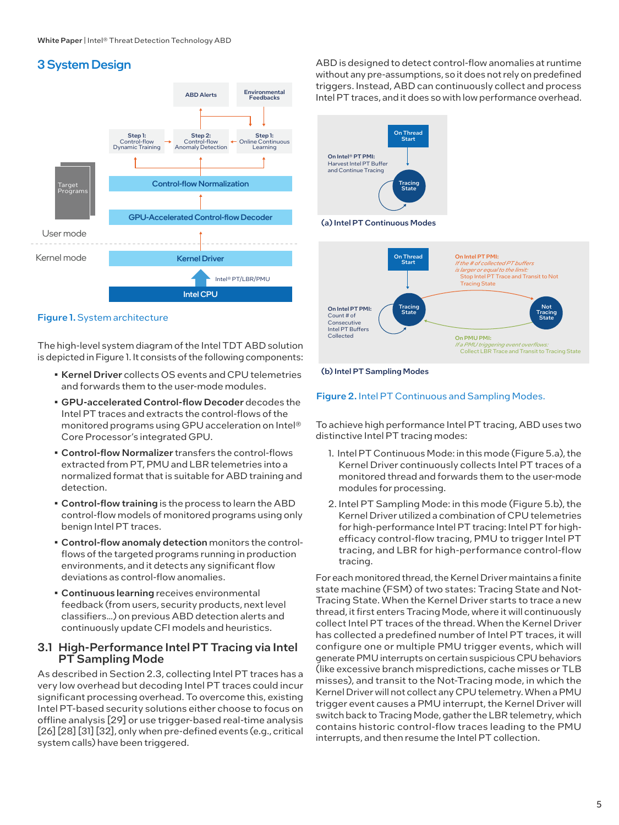# 3 System Design





The high-level system diagram of the Intel TDT ABD solution is depicted in Figure 1. It consists of the following components:

- Kernel Driver collects OS events and CPU telemetries and forwards them to the user-mode modules.
- GPU-accelerated Control-flow Decoder decodes the Intel PT traces and extracts the control-flows of the monitored programs using GPU acceleration on Intel® Core Processor's integrated GPU.
- Control-flow Normalizer transfers the control-flows extracted from PT, PMU and LBR telemetries into a normalized format that is suitable for ABD training and detection.
- Control-flow training is the process to learn the ABD control-flow models of monitored programs using only benign Intel PT traces.
- Control-flow anomaly detection monitors the controlflows of the targeted programs running in production environments, and it detects any significant flow deviations as control-flow anomalies.
- Continuous learning receives environmental feedback (from users, security products, next level classifiers…) on previous ABD detection alerts and continuously update CFI models and heuristics.

# 3.1 High-Performance Intel PT Tracing via Intel PT Sampling Mode

As described in Section 2.3, collecting Intel PT traces has a very low overhead but decoding Intel PT traces could incur significant processing overhead. To overcome this, existing Intel PT-based security solutions either choose to focus on offline analysis [29] or use trigger-based real-time analysis [26] [28] [31] [32], only when pre-defined events (e.g., critical system calls) have been triggered.

ABD is designed to detect control-flow anomalies at runtime without any pre-assumptions, so it does not rely on predefined triggers. Instead, ABD can continuously collect and process Intel PT traces, and it does so with low performance overhead.



#### (b) Intel PT Sampling Modes

#### Figure 2. Intel PT Continuous and Sampling Modes.

To achieve high performance Intel PT tracing, ABD uses two distinctive Intel PT tracing modes:

- 1. Intel PT Continuous Mode: in this mode (Figure 5.a), the Kernel Driver continuously collects Intel PT traces of a monitored thread and forwards them to the user-mode modules for processing.
- 2. Intel PT Sampling Mode: in this mode (Figure 5.b), the Kernel Driver utilized a combination of CPU telemetries for high-performance Intel PT tracing: Intel PT for highefficacy control-flow tracing, PMU to trigger Intel PT tracing, and LBR for high-performance control-flow tracing.

For each monitored thread, the Kernel Driver maintains a finite state machine (FSM) of two states: Tracing State and Not-Tracing State. When the Kernel Driver starts to trace a new thread, it first enters Tracing Mode, where it will continuously collect Intel PT traces of the thread. When the Kernel Driver has collected a predefined number of Intel PT traces, it will configure one or multiple PMU trigger events, which will generate PMU interrupts on certain suspicious CPU behaviors (like excessive branch mispredictions, cache misses or TLB misses), and transit to the Not-Tracing mode, in which the Kernel Driver will not collect any CPU telemetry. When a PMU trigger event causes a PMU interrupt, the Kernel Driver will switch back to Tracing Mode, gather the LBR telemetry, which contains historic control-flow traces leading to the PMU interrupts, and then resume the Intel PT collection.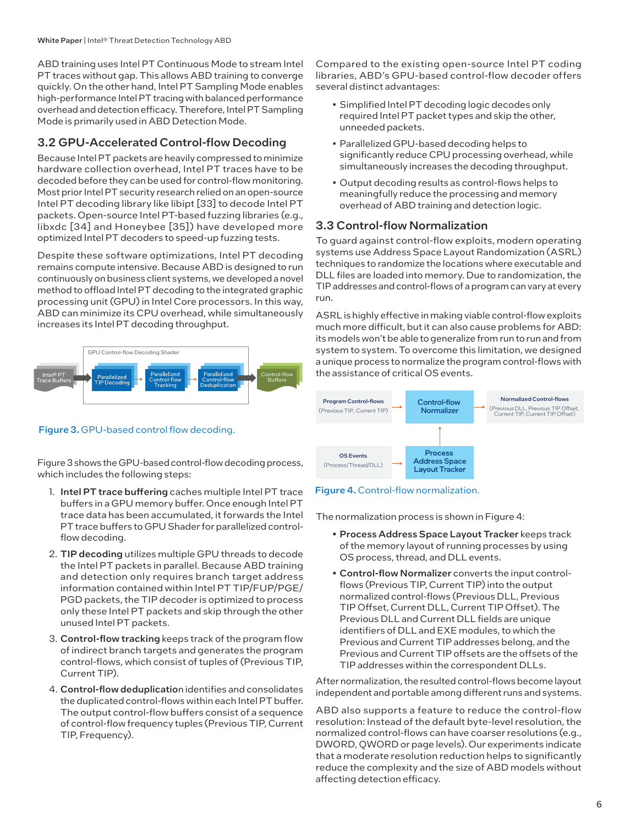ABD training uses Intel PT Continuous Mode to stream Intel PT traces without gap. This allows ABD training to converge quickly. On the other hand, Intel PT Sampling Mode enables high-performance Intel PT tracing with balanced performance overhead and detection efficacy. Therefore, Intel PT Sampling Mode is primarily used in ABD Detection Mode.

# 3.2 GPU-Accelerated Control-flow Decoding

Because Intel PT packets are heavily compressed to minimize hardware collection overhead, Intel PT traces have to be decoded before they can be used for control-flow monitoring. Most prior Intel PT security research relied on an open-source Intel PT decoding library like libipt [33] to decode Intel PT packets. Open-source Intel PT-based fuzzing libraries (e.g., libxdc [34] and Honeybee [35]) have developed more optimized Intel PT decoders to speed-up fuzzing tests.

Despite these software optimizations, Intel PT decoding remains compute intensive. Because ABD is designed to run continuously on business client systems, we developed a novel method to offload Intel PT decoding to the integrated graphic processing unit (GPU) in Intel Core processors. In this way, ABD can minimize its CPU overhead, while simultaneously increases its Intel PT decoding throughput.



#### Figure 3. GPU-based control flow decoding.

Figure 3 shows the GPU-based control-flow decoding process, which includes the following steps:

- 1. Intel PT trace buffering caches multiple Intel PT trace buffers in a GPU memory buffer. Once enough Intel PT trace data has been accumulated, it forwards the Intel PT trace buffers to GPU Shader for parallelized controlflow decoding.
- 2. TIP decoding utilizes multiple GPU threads to decode the Intel PT packets in parallel. Because ABD training and detection only requires branch target address information contained within Intel PT TIP/FUP/PGE/ PGD packets, the TIP decoder is optimized to process only these Intel PT packets and skip through the other unused Intel PT packets.
- 3. Control-flow tracking keeps track of the program flow of indirect branch targets and generates the program control-flows, which consist of tuples of (Previous TIP, Current TIP).
- 4. Control-flow deduplication identifies and consolidates the duplicated control-flows within each Intel PT buffer. The output control-flow buffers consist of a sequence of control-flow frequency tuples (Previous TIP, Current TIP, Frequency).

Compared to the existing open-source Intel PT coding libraries, ABD's GPU-based control-flow decoder offers several distinct advantages:

- Simplified Intel PT decoding logic decodes only required Intel PT packet types and skip the other, unneeded packets.
- Parallelized GPU-based decoding helps to significantly reduce CPU processing overhead, while simultaneously increases the decoding throughput.
- Output decoding results as control-flows helps to meaningfully reduce the processing and memory overhead of ABD training and detection logic.

# 3.3 Control-flow Normalization

To guard against control-flow exploits, modern operating systems use Address Space Layout Randomization (ASRL) techniques to randomize the locations where executable and DLL files are loaded into memory. Due to randomization, the TIP addresses and control-flows of a program can vary at every run.

ASRL is highly effective in making viable control-flow exploits much more difficult, but it can also cause problems for ABD: its models won't be able to generalize from run to run and from system to system. To overcome this limitation, we designed a unique process to normalize the program control-flows with the assistance of critical OS events.



#### Figure 4. Control-flow normalization.

The normalization process is shown in Figure 4:

- Process Address Space Layout Tracker keeps track of the memory layout of running processes by using OS process, thread, and DLL events.
- Control-flow Normalizer converts the input controlflows (Previous TIP, Current TIP) into the output normalized control-flows (Previous DLL, Previous TIP Offset, Current DLL, Current TIP Offset). The Previous DLL and Current DLL fields are unique identifiers of DLL and EXE modules, to which the Previous and Current TIP addresses belong, and the Previous and Current TIP offsets are the offsets of the TIP addresses within the correspondent DLLs.

After normalization, the resulted control-flows become layout independent and portable among different runs and systems.

ABD also supports a feature to reduce the control-flow resolution: Instead of the default byte-level resolution, the normalized control-flows can have coarser resolutions (e.g., DWORD, QWORD or page levels). Our experiments indicate that a moderate resolution reduction helps to significantly reduce the complexity and the size of ABD models without affecting detection efficacy.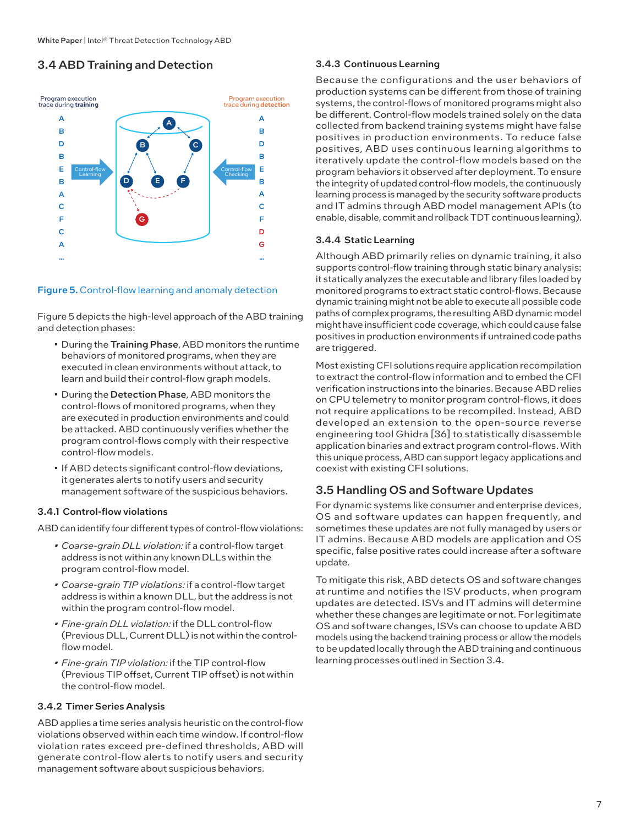# 3.4 ABD Training and Detection



#### Figure 5. Control-flow learning and anomaly detection

Figure 5 depicts the high-level approach of the ABD training and detection phases:

- During the Training Phase, ABD monitors the runtime behaviors of monitored programs, when they are executed in clean environments without attack, to learn and build their control-flow graph models.
- During the Detection Phase, ABD monitors the control-flows of monitored programs, when they are executed in production environments and could be attacked. ABD continuously verifies whether the program control-flows comply with their respective control-flow models.
- If ABD detects significant control-flow deviations, it generates alerts to notify users and security management software of the suspicious behaviors.

#### 3.4.1 Control-flow violations

ABD can identify four different types of control-flow violations:

- *• Coarse-grain DLL violation:* if a control-flow target address is not within any known DLLs within the program control-flow model.
- *• Coarse-grain TIP violations:* if a control-flow target address is within a known DLL, but the address is not within the program control-flow model.
- *• Fine-grain DLL violation:* if the DLL control-flow (Previous DLL, Current DLL) is not within the controlflow model.
- *• Fine-grain TIP violation:* if the TIP control-flow (Previous TIP offset, Current TIP offset) is not within the control-flow model.

#### 3.4.2 Timer Series Analysis

ABD applies a time series analysis heuristic on the control-flow violations observed within each time window. If control-flow violation rates exceed pre-defined thresholds, ABD will generate control-flow alerts to notify users and security management software about suspicious behaviors.

#### 3.4.3 Continuous Learning

Because the configurations and the user behaviors of production systems can be different from those of training systems, the control-flows of monitored programs might also be different. Control-flow models trained solely on the data collected from backend training systems might have false positives in production environments. To reduce false positives, ABD uses continuous learning algorithms to iteratively update the control-flow models based on the program behaviors it observed after deployment. To ensure the integrity of updated control-flow models, the continuously learning process is managed by the security software products and IT admins through ABD model management APIs (to enable, disable, commit and rollback TDT continuous learning).

#### 3.4.4 Static Learning

Although ABD primarily relies on dynamic training, it also supports control-flow training through static binary analysis: it statically analyzes the executable and library files loaded by monitored programs to extract static control-flows. Because dynamic training might not be able to execute all possible code paths of complex programs, the resulting ABD dynamic model might have insufficient code coverage, which could cause false positives in production environments if untrained code paths are triggered.

Most existing CFI solutions require application recompilation to extract the control-flow information and to embed the CFI verification instructions into the binaries. Because ABD relies on CPU telemetry to monitor program control-flows, it does not require applications to be recompiled. Instead, ABD developed an extension to the open-source reverse engineering tool Ghidra [36] to statistically disassemble application binaries and extract program control-flows. With this unique process, ABD can support legacy applications and coexist with existing CFI solutions.

# 3.5 Handling OS and Software Updates

For dynamic systems like consumer and enterprise devices, OS and software updates can happen frequently, and sometimes these updates are not fully managed by users or IT admins. Because ABD models are application and OS specific, false positive rates could increase after a software update.

To mitigate this risk, ABD detects OS and software changes at runtime and notifies the ISV products, when program updates are detected. ISVs and IT admins will determine whether these changes are legitimate or not. For legitimate OS and software changes, ISVs can choose to update ABD models using the backend training process or allow the models to be updated locally through the ABD training and continuous learning processes outlined in Section 3.4.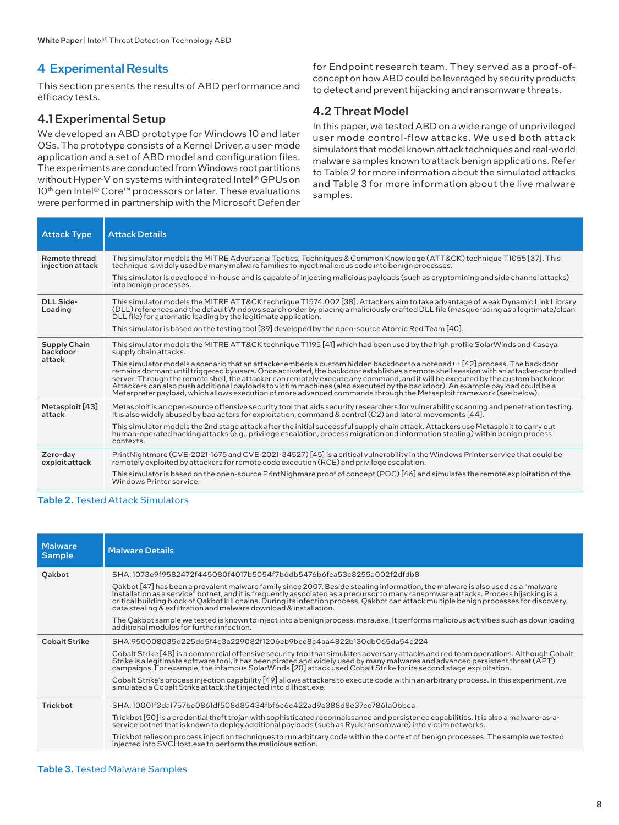# 4 Experimental Results

This section presents the results of ABD performance and efficacy tests.

#### 4.1 Experimental Setup

We developed an ABD prototype for Windows 10 and later OSs. The prototype consists of a Kernel Driver, a user-mode application and a set of ABD model and configuration files. The experiments are conducted from Windows root partitions without Hyper-V on systems with integrated Intel® GPUs on 10<sup>th</sup> gen Intel® Core™ processors or later. These evaluations were performed in partnership with the Microsoft Defender for Endpoint research team. They served as a proof-ofconcept on how ABD could be leveraged by security products to detect and prevent hijacking and ransomware threats.

# 4.2 Threat Model

In this paper, we tested ABD on a wide range of unprivileged user mode control-flow attacks. We used both attack simulators that model known attack techniques and real-world malware samples known to attack benign applications. Refer to Table 2 for more information about the simulated attacks and Table 3 for more information about the live malware samples.

| <b>Attack Type</b>                | <b>Attack Details</b>                                                                                                                                                                                                                                                                                                                                                                                                                                                                                                                                                                                                                                            |
|-----------------------------------|------------------------------------------------------------------------------------------------------------------------------------------------------------------------------------------------------------------------------------------------------------------------------------------------------------------------------------------------------------------------------------------------------------------------------------------------------------------------------------------------------------------------------------------------------------------------------------------------------------------------------------------------------------------|
| Remote thread<br>injection attack | This simulator models the MITRE Adversarial Tactics, Techniques & Common Knowledge (ATT&CK) technique T1055 [37]. This<br>technique is widely used by many malware families to inject malicious code into benign processes.                                                                                                                                                                                                                                                                                                                                                                                                                                      |
|                                   | This simulator is developed in-house and is capable of injecting malicious payloads (such as cryptomining and side channel attacks)<br>into benign processes.                                                                                                                                                                                                                                                                                                                                                                                                                                                                                                    |
| DLL Side-<br>Loading              | This simulator models the MITRE ATT&CK technique T1574.002 [38]. Attackers aim to take advantage of weak Dynamic Link Library<br>(DLL) references and the default Windows search order by placing a maliciously crafted DLL file (masquerading as a legitimate/clean<br>DLL file) for automatic loading by the legitimate application.                                                                                                                                                                                                                                                                                                                           |
|                                   | This simulator is based on the testing tool [39] developed by the open-source Atomic Red Team [40].                                                                                                                                                                                                                                                                                                                                                                                                                                                                                                                                                              |
| Supply Chain<br>backdoor          | This simulator models the MITRE ATT&CK technique T1195 [41] which had been used by the high profile SolarWinds and Kaseya<br>supply chain attacks.                                                                                                                                                                                                                                                                                                                                                                                                                                                                                                               |
| attack                            | This simulator models a scenario that an attacker embeds a custom hidden backdoor to a notepad++ [42] process. The backdoor<br>remains dormant until triggered by users. Once activated, the backdoor establishes a remote shell session with an attacker-controlled<br>server. Through the remote shell, the attacker can remotely execute any command, and it will be executed by the custom backdoor.<br>Attackers can also push additional payloads to victim machines (also executed by the backdoor). An example payload could be a<br>Meterpreter payload, which allows execution of more advanced commands through the Metasploit framework (see below). |
| Metasploit [43]<br>attack         | Metasploit is an open-source offensive security tool that aids security researchers for vulnerability scanning and penetration testing.<br>It is also widely abused by bad actors for exploitation, command & control $(C2)$ and lateral movements [44].                                                                                                                                                                                                                                                                                                                                                                                                         |
|                                   | This simulator models the 2nd stage attack after the initial successful supply chain attack. Attackers use Metasploit to carry out<br>human-operated hacking attacks (e.g., privilege escalation, process migration and information stealing) within benign process<br>contexts.                                                                                                                                                                                                                                                                                                                                                                                 |
| Zero-day<br>exploit attack        | PrintNightmare (CVE-2021-1675 and CVE-2021-34527) [45] is a critical vulnerability in the Windows Printer service that could be<br>remotely exploited by attackers for remote code execution (RCE) and privilege escalation.                                                                                                                                                                                                                                                                                                                                                                                                                                     |
|                                   | This simulator is based on the open-source PrintNighmare proof of concept (POC) [46] and simulates the remote exploitation of the<br>Windows Printer service.                                                                                                                                                                                                                                                                                                                                                                                                                                                                                                    |

Table 2. Tested Attack Simulators

| <b>Malware</b><br><b>Sample</b> | <b>Malware Details</b>                                                                                                                                                                                                                                                                                                                                                   |
|---------------------------------|--------------------------------------------------------------------------------------------------------------------------------------------------------------------------------------------------------------------------------------------------------------------------------------------------------------------------------------------------------------------------|
| Oakbot                          | SHA:1073e9f9582472f445080f4017b5054f7b6db5476b6fca53c8255a002f2dfdb8<br>Qakbot [47] has been a prevalent malware family since 2007. Beside stealing information, the malware is also used as a "malware"                                                                                                                                                                 |
|                                 | installation as a service" botnet, and it is frequently associated as a precursor to many ransomware attacks. Process hijacking is a<br>critical building block of Qakbot kill chains. During its infection process, Qakbot can attack multiple benign processes for discovery,<br>data stealing & exfiltration and malware download & installation.                     |
|                                 | The Qakbot sample we tested is known to inject into a benign process, msra.exe. It performs malicious activities such as downloading<br>additional modules for further infection.                                                                                                                                                                                        |
| <b>Cobalt Strike</b>            | SHA:950008035d225dd5f4c3a229082f1206eb9bce8c4aa4822b130db065da54e224                                                                                                                                                                                                                                                                                                     |
|                                 | Cobalt Strike [48] is a commercial offensive security tool that simulates adversary attacks and red team operations. Although Cobalt<br>Strike is a legitimate software tool, it has been pirated and widely used by many malwares and advanced persistent threat (APT)<br>campaigns. For example, the infamous SolarWinds [20] attack used Cobalt Strike for its second |
|                                 | Cobalt Strike's process injection capability [49] allows attackers to execute code within an arbitrary process. In this experiment, we<br>simulated a Cobalt Strike attack that injected into dllhost.exe.                                                                                                                                                               |
| <b>Trickbot</b>                 | SHA:10001f3da1757be0861df508d85434fbf6c6c422ad9e388d8e37cc7861a0bbea                                                                                                                                                                                                                                                                                                     |
|                                 | Trickbot [50] is a credential theft trojan with sophisticated reconnaissance and persistence capabilities. It is also a malware-as-a-<br>service botnet that is known to deploy additional payloads (such as Ryuk ransomware) into victim networks.                                                                                                                      |
|                                 | Trickbot relies on process injection techniques to run arbitrary code within the context of benign processes. The sample we tested<br>injected into SVCHost.exe to perform the malicious action.                                                                                                                                                                         |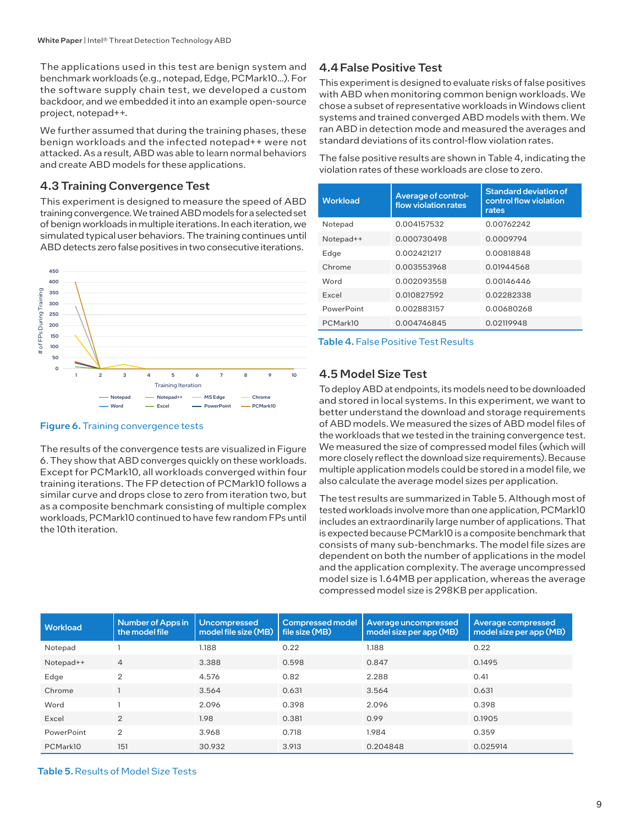The applications used in this test are benign system and benchmark workloads (e.g., notepad, Edge, PCMark10…). For the software supply chain test, we developed a custom backdoor, and we embedded it into an example open-source project, notepad++.

We further assumed that during the training phases, these benign workloads and the infected notepad++ were not attacked. As a result, ABD was able to learn normal behaviors and create ABD models for these applications.

# 4.3 Training Convergence Test

This experiment is designed to measure the speed of ABD training convergence. We trained ABD models for a selected set of benign workloads in multiple iterations. In each iteration, we simulated typical user behaviors. The training continues until ABD detects zero false positives in two consecutive iterations.



#### Figure 6. Training convergence tests

The results of the convergence tests are visualized in Figure 6. They show that ABD converges quickly on these workloads. Except for PCMark10, all workloads converged within four training iterations. The FP detection of PCMark10 follows a similar curve and drops close to zero from iteration two, but as a composite benchmark consisting of multiple complex workloads, PCMark10 continued to have few random FPs until the 10th iteration.

# 4.4False Positive Test

This experiment is designed to evaluate risks of false positives with ABD when monitoring common benign workloads. We chose a subset of representative workloads in Windows client systems and trained converged ABD models with them. We ran ABD in detection mode and measured the averages and standard deviations of its control-flow violation rates.

The false positive results are shown in Table 4, indicating the violation rates of these workloads are close to zero.

| <b>Workload</b> | <b>Average of control-</b><br>flow violation rates | <b>Standard deviation of</b><br>control flow violation<br>rates |  |
|-----------------|----------------------------------------------------|-----------------------------------------------------------------|--|
| Notepad         | 0.004157532                                        | 0.00762242                                                      |  |
| Notepad++       | 0.000730498                                        | 0.0009794                                                       |  |
| Edge            | 0.002421217                                        | 0.00818848                                                      |  |
| Chrome          | 0.003553968                                        | 0.01944568                                                      |  |
| Word            | 0.002093558                                        | 0.00146446                                                      |  |
| Excel           | 0.010827592                                        | 0.02282338                                                      |  |
| PowerPoint      | 0.002883157                                        | 0.00680268                                                      |  |
| PCMark10        | 0.004746845                                        | 0.02119948                                                      |  |

Table 4. False Positive Test Results

# 4.5 Model Size Test

To deploy ABD at endpoints, its models need to be downloaded and stored in local systems. In this experiment, we want to better understand the download and storage requirements of ABD models. We measured the sizes of ABD model files of the workloads that we tested in the training convergence test. We measured the size of compressed model files (which will more closely reflect the download size requirements). Because multiple application models could be stored in a model file, we also calculate the average model sizes per application.

The test results are summarized in Table 5. Although most of tested workloads involve more than one application, PCMark10 includes an extraordinarily large number of applications. That is expected because PCMark10 is a composite benchmark that consists of many sub-benchmarks. The model file sizes are dependent on both the number of applications in the model and the application complexity. The average uncompressed model size is 1.64MB per application, whereas the average compressed model size is 298KB per application.

| <b>Workload</b> | Number of Apps in<br>the model file | <b>Uncompressed</b><br>model file size (MB) | Compressed model<br>file size (MB) | Average uncompressed<br>model size per app (MB) | Average compressed<br>model size per app (MB) |
|-----------------|-------------------------------------|---------------------------------------------|------------------------------------|-------------------------------------------------|-----------------------------------------------|
| Notepad         |                                     | 1.188                                       | 0.22                               | 1.188                                           | 0.22                                          |
| Notepad++       | $\overline{4}$                      | 3.388                                       | 0.598                              | 0.847                                           | 0.1495                                        |
| Edge            | $\overline{2}$                      | 4.576                                       | 0.82                               | 2.288                                           | 0.41                                          |
| Chrome          |                                     | 3.564                                       | 0.631                              | 3.564                                           | 0.631                                         |
| Word            |                                     | 2.096                                       | 0.398                              | 2.096                                           | 0.398                                         |
| Excel           | $\overline{2}$                      | 1.98                                        | 0.381                              | 0.99                                            | 0.1905                                        |
| PowerPoint      | $\overline{2}$                      | 3.968                                       | 0.718                              | 1.984                                           | 0.359                                         |
| PCMark10        | 151                                 | 30.932                                      | 3.913                              | 0.204848                                        | 0.025914                                      |

#### Table 5. Results of Model Size Tests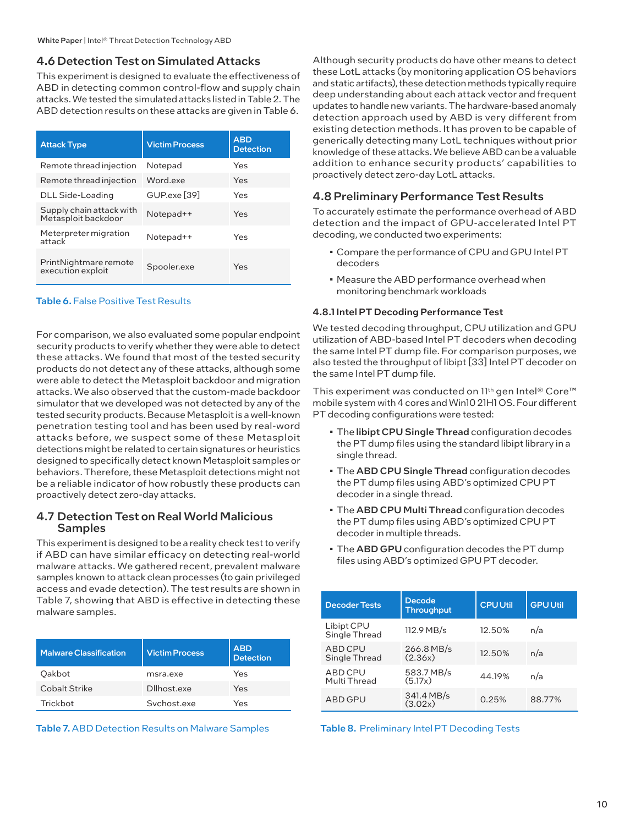#### 4.6 Detection Test on Simulated Attacks

This experiment is designed to evaluate the effectiveness of ABD in detecting common control-flow and supply chain attacks. We tested the simulated attacks listed in Table 2. The ABD detection results on these attacks are given in Table 6.

| <b>Attack Type</b>                              | <b>Victim Process</b> | <b>ABD</b><br><b>Detection</b> |
|-------------------------------------------------|-----------------------|--------------------------------|
| Remote thread injection                         | Notepad               | Yes                            |
| Remote thread injection                         | Word.exe              | Yes                            |
| DLL Side-Loading                                | GUP.exe [39]          | Yes                            |
| Supply chain attack with<br>Metasploit backdoor | Notepad++             | Yes                            |
| Meterpreter migration<br>attack                 | Notepad++             | Yes                            |
| PrintNightmare remote<br>execution exploit      | Spooler.exe           | Yes                            |

#### Table 6. False Positive Test Results

For comparison, we also evaluated some popular endpoint security products to verify whether they were able to detect these attacks. We found that most of the tested security products do not detect any of these attacks, although some were able to detect the Metasploit backdoor and migration attacks. We also observed that the custom-made backdoor simulator that we developed was not detected by any of the tested security products. Because Metasploit is a well-known penetration testing tool and has been used by real-word attacks before, we suspect some of these Metasploit detections might be related to certain signatures or heuristics designed to specifically detect known Metasploit samples or behaviors. Therefore, these Metasploit detections might not be a reliable indicator of how robustly these products can proactively detect zero-day attacks.

#### 4.7 Detection Test on Real World Malicious Samples

This experiment is designed to be a reality check test to verify if ABD can have similar efficacy on detecting real-world malware attacks. We gathered recent, prevalent malware samples known to attack clean processes (to gain privileged access and evade detection). The test results are shown in Table 7, showing that ABD is effective in detecting these malware samples.

| <b>Malware Classification</b> | <b>Victim Process</b> | <b>ABD</b><br><b>Detection</b> |
|-------------------------------|-----------------------|--------------------------------|
| Oakbot                        | msra.exe              | Yes                            |
| <b>Cobalt Strike</b>          | Dllhost.exe           | Yes                            |
| Trickbot                      | Sychost.exe           | Yes                            |



Although security products do have other means to detect these LotL attacks (by monitoring application OS behaviors and static artifacts), these detection methods typically require deep understanding about each attack vector and frequent updates to handle new variants. The hardware-based anomaly detection approach used by ABD is very different from existing detection methods. It has proven to be capable of generically detecting many LotL techniques without prior knowledge of these attacks. We believe ABD can be a valuable addition to enhance security products' capabilities to proactively detect zero-day LotL attacks.

#### 4.8 Preliminary Performance Test Results

To accurately estimate the performance overhead of ABD detection and the impact of GPU-accelerated Intel PT decoding, we conducted two experiments:

- Compare the performance of CPU and GPU Intel PT decoders
- Measure the ABD performance overhead when monitoring benchmark workloads

#### 4.8.1 Intel PT Decoding Performance Test

We tested decoding throughput, CPU utilization and GPU utilization of ABD-based Intel PT decoders when decoding the same Intel PT dump file. For comparison purposes, we also tested the throughput of libipt [33] Intel PT decoder on the same Intel PT dump file.

This experiment was conducted on 11<sup>th</sup> gen Intel® Core<sup>™</sup> mobile system with 4 cores and Win10 21H1 OS. Four different PT decoding configurations were tested:

- The libipt CPU Single Thread configuration decodes the PT dump files using the standard libipt library in a single thread.
- The ABD CPU Single Thread configuration decodes the PT dump files using ABD's optimized CPU PT decoder in a single thread.
- The ABD CPU Multi Thread configuration decodes the PT dump files using ABD's optimized CPU PT decoder in multiple threads.
- The ABD GPU configuration decodes the PT dump files using ABD's optimized GPU PT decoder.

| <b>Decoder Tests</b>        | <b>Decode</b><br><b>Throughput</b> | <b>CPU Util</b> | <b>GPU Util</b> |
|-----------------------------|------------------------------------|-----------------|-----------------|
| Libipt CPU<br>Single Thread | 112.9 MB/s                         | 12.50%          | n/a             |
| ABD CPU<br>Single Thread    | 266.8 MB/s<br>(2.36x)              | 12.50%          | n/a             |
| ABD CPU<br>Multi Thread     | 583.7 MB/s<br>(5.17x)              | 44.19%          | n/a             |
| ABD GPU                     | 341.4 MB/s<br>(3.02x)              | 0.25%           | 88.77%          |

|  | Table 8. Preliminary Intel PT Decoding Tests |  |  |  |
|--|----------------------------------------------|--|--|--|
|--|----------------------------------------------|--|--|--|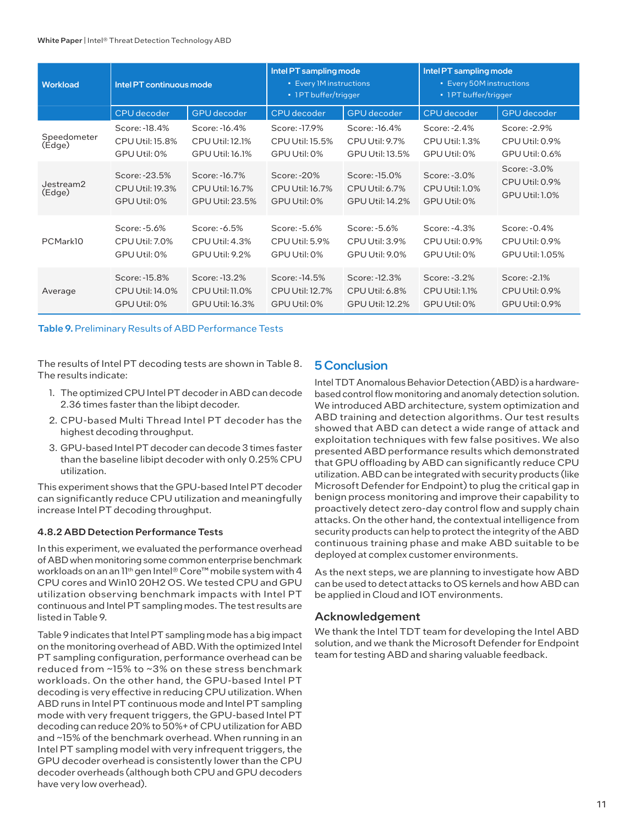| <b>Workload</b><br>Intel PT continuous mode |                                                         |                                                                   | Intel PT sampling mode<br>• Every 1M instructions<br>• 1PT buffer/trigger |                                                                  | Intel PT sampling mode<br>• Every 50M instructions<br>· 1PT buffer/trigger |                                                         |
|---------------------------------------------|---------------------------------------------------------|-------------------------------------------------------------------|---------------------------------------------------------------------------|------------------------------------------------------------------|----------------------------------------------------------------------------|---------------------------------------------------------|
|                                             | CPU decoder                                             | <b>GPU</b> decoder                                                | CPU decoder                                                               | <b>GPU</b> decoder                                               | CPU decoder                                                                | <b>GPU</b> decoder                                      |
| Speedometer<br>(Edge)                       | Score: -18.4%<br><b>CPU Util: 15.8%</b><br>GPU Util: 0% | Score: -16.4%<br><b>CPU Util: 12.1%</b><br>GPU Util: 16.1%        | Score: -17.9%<br>CPU Util: 15.5%<br>GPU Util: 0%                          | Score: -16.4%<br><b>CPU Util: 9.7%</b><br><b>GPU Util: 13.5%</b> | Score: -2.4%<br>CPU Util: 1.3%<br>GPU Util: 0%                             | Score: -2.9%<br>CPU Util: 0.9%<br><b>GPU Util: 0.6%</b> |
| Jestream2<br>(Edge)                         | Score: -23.5%<br><b>CPU Util: 19.3%</b><br>GPU Util: 0% | Score: -16.7%<br>CPU Util: 16.7%<br><b>GPU Util: 23.5%</b>        | Score: -20%<br>CPU Util: 16.7%<br>GPU Util: 0%                            | Score: -15.0%<br><b>CPU Util: 6.7%</b><br><b>GPU Util: 14.2%</b> | Score: -3.0%<br><b>CPU Util: 1.0%</b><br>GPU Util: 0%                      | Score: -3.0%<br>CPU Util: 0.9%<br><b>GPU Util: 1.0%</b> |
| PCMark10                                    | Score: -5.6%<br>CPU Util: 7.0%<br>GPU Util: 0%          | Score: -6.5%<br>CPU Util: 4.3%<br><b>GPU Util: 9.2%</b>           | Score: -5.6%<br>CPU Util: 5.9%<br>GPU Util: 0%                            | Score: -5.6%<br>CPU Util: 3.9%<br><b>GPU Util: 9.0%</b>          | Score: -4.3%<br>CPU Util: 0.9%<br>GPU Util: 0%                             | Score: -0.4%<br>CPU Util: 0.9%<br>GPU Util: 1.05%       |
| Average                                     | Score: -15.8%<br>CPU Util: 14.0%<br>GPU Util: 0%        | Score: -13.2%<br><b>CPU Util: 11.0%</b><br><b>GPU Util: 16.3%</b> | Score: -14.5%<br><b>CPU Util: 12.7%</b><br>GPU Util: 0%                   | Score: -12.3%<br>CPU Util: 6.8%<br><b>GPU Util: 12.2%</b>        | Score: -3.2%<br><b>CPU Util: 1.1%</b><br>GPU Util: 0%                      | Score: -2.1%<br>CPU Util: 0.9%<br><b>GPU Util: 0.9%</b> |

#### Table 9. Preliminary Results of ABD Performance Tests

The results of Intel PT decoding tests are shown in Table 8. The results indicate:

- 1. The optimized CPU Intel PT decoder in ABD can decode 2.36 times faster than the libipt decoder.
- 2. CPU-based Multi Thread Intel PT decoder has the highest decoding throughput.
- 3. GPU-based Intel PT decoder can decode 3 times faster than the baseline libipt decoder with only 0.25% CPU utilization.

This experiment shows that the GPU-based Intel PT decoder can significantly reduce CPU utilization and meaningfully increase Intel PT decoding throughput.

#### 4.8.2 ABD Detection Performance Tests

In this experiment, we evaluated the performance overhead of ABD when monitoring some common enterprise benchmark workloads on an an 11<sup>th</sup> gen Intel® Core™ mobile system with 4 CPU cores and Win10 20H2 OS. We tested CPU and GPU utilization observing benchmark impacts with Intel PT continuous and Intel PT sampling modes. The test results are listed in Table 9.

Table 9 indicates that Intel PT sampling mode has a big impact on the monitoring overhead of ABD. With the optimized Intel PT sampling configuration, performance overhead can be reduced from ~15% to ~3% on these stress benchmark workloads. On the other hand, the GPU-based Intel PT decoding is very effective in reducing CPU utilization. When ABD runs in Intel PT continuous mode and Intel PT sampling mode with very frequent triggers, the GPU-based Intel PT decoding can reduce 20% to 50%+ of CPU utilization for ABD and ~15% of the benchmark overhead. When running in an Intel PT sampling model with very infrequent triggers, the GPU decoder overhead is consistently lower than the CPU decoder overheads (although both CPU and GPU decoders have very low overhead).

## 5 Conclusion

Intel TDT Anomalous Behavior Detection (ABD) is a hardwarebased control flow monitoring and anomaly detection solution. We introduced ABD architecture, system optimization and ABD training and detection algorithms. Our test results showed that ABD can detect a wide range of attack and exploitation techniques with few false positives. We also presented ABD performance results which demonstrated that GPU offloading by ABD can significantly reduce CPU utilization. ABD can be integrated with security products (like Microsoft Defender for Endpoint) to plug the critical gap in benign process monitoring and improve their capability to proactively detect zero-day control flow and supply chain attacks. On the other hand, the contextual intelligence from security products can help to protect the integrity of the ABD continuous training phase and make ABD suitable to be deployed at complex customer environments.

As the next steps, we are planning to investigate how ABD can be used to detect attacks to OS kernels and how ABD can be applied in Cloud and IOT environments.

#### Acknowledgement

We thank the Intel TDT team for developing the Intel ABD solution, and we thank the Microsoft Defender for Endpoint team for testing ABD and sharing valuable feedback.